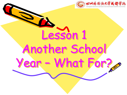

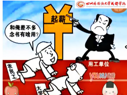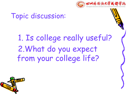

# Topic discussion:

# 1. Is college really useful? 2.What do you expect from your college life?

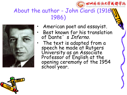

## About the author - John Ciardi (1916- 1986)



- American poet and essayist.
- Best known for his translation of Dante's Inferno.
	- The text is adapted from a speech he made at Rutgers University as an Associate Professor of English at the New Line opening ceremony of the 1954 school year.

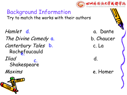

#### Background Information Try to match the works with their authors

Hamlet a. Dante d. The Divine Comedy a. b. Chaucer Canterbury Tales b. C. La<br>
Rochefoucauld<br>
Iliad C. d. Rochefoucauld Iliad d. Shakespeare



Maxims e. Homer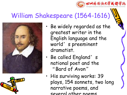# William Shakespeare (1564-1616)





• Be widely regarded as the greatest writer in the English language and the world's preeminent dramatist.

四川外围语大学或都学院

- Be called England's national poet and the "Bard of Avon"
- His surviving works: 39 plays, 154 sonnets, two long narrative poems, and several other poems.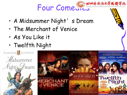Four Comeutes

- A Midsummer Night's Dream
- The Merchant of Venice
- As You Like it
- Twelfth Night

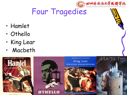

# Four Tragedies

- Hamlet
- Othello
- King Lear
- Macbeth

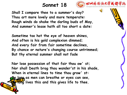

**Shall I compare thee to a summer's day? Thou art more lovely and more temperate: Rough winds do shake the darling buds of May, And summer's lease hath all too short a date:**

**Sometime too hot the eye of heaven shines, And often is his gold complexion dimmed; And every fair from fair sometime declines, By chance or nature's changing course untrimmed; But thy eternal summer shall not fade**

**Nor lose possession of that fair thou ow**'**st; Nor shall Death brag thou wander'st in his shade, When in eternal lines to time thou grow**'**st: So long as men can breathe or eyes can see, So long lives this and this gives life to thee.**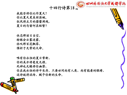

我能否将你比作夏天? 你比夏天更美丽温婉。 狂风将五月的蓓蕾凋残, 夏日的勾留何其短暂?

 休恋那丽日当空, 转眼会云雾迷蒙。 休叹那百花飘零, 催折于无常的天命。

 唯有你永恒的夏日常新, 你的美亦将毫发无损。

死神也无缘将你幽禁,

你在我永恒的诗中长存。只要世间尚有人类,尚有能看的眼睛, 这诗就将流传,赋予你新的生命。

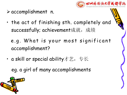

- $\triangleright$  accomplishment n.
- the act of finishing sth. completely and successfully; achievement成就, 成绩
	- e.g. What is your most significant accomplishment?
- a skill or special ability才艺, 专长

eg. a girl of many accomplishments

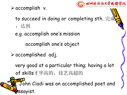$\triangleright$  accomplish v.



to succeed in doing or completing sth. 完成 ,达到

e.g. accomplish one 's mission

accomplish one 's object

 $\triangleright$  accomplished adj.

very good at a particular thing; having a lot of skills才华高的, 技艺高超的

. John Ciadi was an accomplished poet and essayist.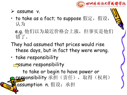

- $\triangleright$  assume v.
- to take as a fact; to suppose 假定, 假设, 认为

e.g. 他们以为最近价格会上涨,但事实是他们 错了。

- They had assumed that prices would rise these days, but in fact they were wrong.
- take responsibility **<u></u>**ssume responsibility

to take or begin to have power or responsibility 承担(责任), 取得(权利) assumption n. 假设; 承担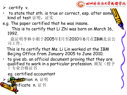

- $\triangleright$  certify v.
- to state that sth. is true or correct, esp. after some kind of test 证明,证实
- e.g. The paper certified that he was insane.

This is to certify that Li Zhi was born on March 16, 1992.

兹证明李林小姐于2005年1月至2010年6月在IBM北京公 司工作。

This is to certify that Ms. Li Lin worked at the IBM Beijing Office from January 2005 to June 2010.

• to give sb. an official document proving that they are qualified to work in a particular profession. 颁发(授予 )专业合格证书

eg. certified accountant

**卡安d**tion n. 证明

 $\mathbf{W}$  ificate n. 证书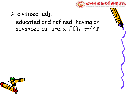

## $\triangleright$  civilized adj. educated and refined; having an advanced culture.文明的,开化的

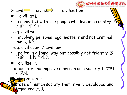



- civil adj.
- connected with the people who live in a country 民的,平民的
	- e.g. civil war
- involving personal legal matters and not criminal law 民事的
	- e.g. civil court / civil law
- polite in a fomal way but possibly not friendly 容 气的,彬彬有礼的
- **O** civilize v.
- to educate and improve a person or a society 使文明 ,教化
	- eivilization n.

**State of human society that is very developed and Arganized** 文明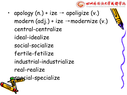

• apology  $(n.) + ize \rightarrow$  apoligize  $(v.)$ modern (adj.) + ize →modernize (v.) central-centralize ideal-idealize social-socialize fertile-fetilize industrial-industrialize real-realize special-specialize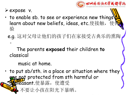

Ø expose v.

- $\cdot$  to enable sb. to see or experience new things learn about new beliefs, ideas, etc.使接触, 验
	- e.g. 这对父母让他们的孩子们在家接受古典乐的熏陶  $\circ$ 
		- The parents **exposed** their children **to** classical

music at home.

• to put sb/sth. in a place or situation where they are not protected from sth harmful or  $\overline{\text{Meas}}$ ant.使暴露,使遭受 e.g. 不要让小孩在阳光下暴晒。

Do not **expose** babies **to** strong sunlight.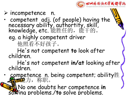

#### $\triangleright$  incompetence n.

• competent adj. (of people) having the  $\forall$ necessary ability, authortity, skill, http://www.cessary.com/<br>knowledge, etc. 能胜任的, 能干的。 eg. a highly competent driver 他照看不好孩子。

He 's not competent **to** look after children.

He 's not competent **in/at** looking after children.

• competence n. being competent; ability胜) 不幸,为,称职。

eg. No one doubts her competence **in** sowing problems./**to** solve problems.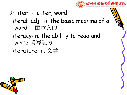

#### $\triangleright$  liter-: letter, word

### literal: adj. in the basic meaning of a word 字面意义的

- literacy: n. the ability to read and write 读写能力
- literature: n. 文学

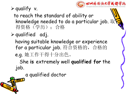

#### $\triangleright$  qualify v.

to reach the standard of ability or knowledge needed to do a particular job. 取 得资格(学历);合格

 $\triangleright$  qualified adj.

having suitable knowledge or experience for a particular job. 符合资格的, 合格的 e.g. 她工作干得十分出色。

She **is** extremely well **qualified for** the job.

a qualified doctor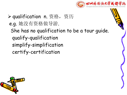

## **>qualification n.** 资格, 资历 e.g. 她没有资格做导游. She has no qualification to be a tour guide. qualify-qualification simplify-simplification certify-certification

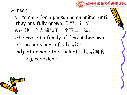

 $\triangleright$  rear

v. to care for a person or an animal until they are fully grown. 养育, 饲养 e.g. 她一个人撑起了一个五口之家。 She reared a family of five on her own. n. the back part of sth. 后部 adj. at or near the back of sth. 后面的 e.g. rear door

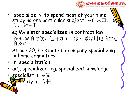

- specialize v. to spend most of your time studying one particular subject. 专门从事, 攻,专注于
	- eg.My sister **specializes in** contract law. 在30岁的时候,他开办了一家专做家用电脑生意 的公司。
	- At age 30,he started a company **specializing in** home computers.
- n. specialization
- adj. specialized eg. specialized knowledge
- **specialist n.** 专家 **peridlity** n. 专长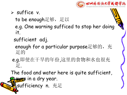

 $\triangleright$  suffice v.

to be enough足够, 足以 e.g. One warning sufficed to stop her doing it.

sufficient adj.

enough for a particular purpose足够的,充 足的 医心包的 医心包的 医心包的 医心包的 医心包的 医心包的

e.g.即使在干旱的年份,这里的食物和水也很充 足.

The food and water here is quite sufficient, **exan** in a dry year. Ø sufficiency n. 充足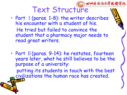

- Part I (paras. 1-8): the writer describes his encounter with a student of his. He tried but failed to convince the student that a pharmacy major needs to read great writers.
- Part II (paras. 9-14): he restates, fourteen years later, what he still believes to be the purpose of a university:

putting its students in touch with the best civilizations the human race has created.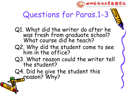

# Questions for Paras.1-3

- Q1. What did the writer do after he was fresh from graduate school? What course did he teach?
- Q2. Why did the student come to see him in the office?
- Q3. What reason could the writer tell the student?
- Q4. Did he give the student this **Preason?** Why?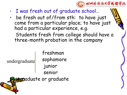

- I was fresh out of graduate school…
- be fresh out of/from sth: to have just come from a particular place; to have just had a particular experience, e.g. Students fresh from college should have a three-month probation in the company

undergraduate

freshman sophomore junior senior **Exp**aduate or graduate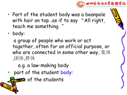

- Part of the student body was a beanpole with hair on top ... as if to say "All right, teach me something. "
- body:

a group of people who work or act together, often for an official purpose, or who are connected in some other way, 集体 ,团体,群体

e.g. a law-making body

part of the student body:

**Ene** of the students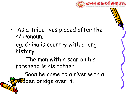

• As attributives placed after the n/pronoun.

eg. China is country with a long history.

The man with a scar on his forehead is his father.

Soon he came to a river with a **Wo**dden bridge over it.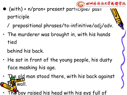

- $\bullet$  (with) + n/pron+ present participie/ past participle
	- / prepositional phrases/to-infinitive/adj/adv.
- The murderer was brought in, with his hands tied
	- behind his back.
- He sat in front of the young people, his dusty face masking his age.
- be old man stood there, with his back against wall.
- he boy raised his head with his eys full of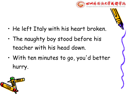

- He left Italy with his heart broken.
- The naughty boy stood before his teacher with his head down.
- With ten minutes to go, you'd better hurry.

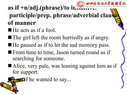

## $\overrightarrow{a}$  **as** if  $+n/a$ **dj.**(phrase)/to in **participle/prep. phrase/adverbial clau of manner**

- $\blacksquare$  He acts as if a fool.
- $\blacksquare$  The girl left the room hurriedly as if angry.
- $\blacksquare$  He paused as if to let the sad memory pass.
- **From time to time, Jason turned round as if** searching for someone.
- Alice, very pale, was leaning against him as if for support.
- $\sum$  if he wanted to say...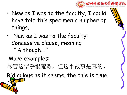

- New as I was to the faculty, I could have told this specimen a number of things.
- New as I was to the faculty: Concessive clause, meaning "Although…"

## More examples:

尽管这似乎很荒谬,但这个故事是真的。

Ridiculous as it seems, the tale is true.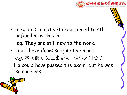

• new to sth: not yet accustomed to sth; unfamiliar with sth

eg. They are still new to the work.

• could have done: subjunctive mood e.g. 本来他可以通过考试,但他太粗心了. He could have passed the exam, but he was so careless.

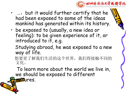

- ..., but it would further certify that he had been exposed to some of the ideas mankind has generated within its history.
- be exposed to (usually, a new idea or feeling): to be given experience of it, or introduced to it, e.g.
	- Studying abroad, he was exposed to a new way of life.
	- 想要更了解我们生活的这个世界,我们得接触不同的 文化。

To learn more about the world we live in, we should be exposed to different **Enflures**.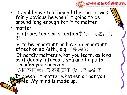

- I could have told him all this, but it was  $\mathbb{N}$ fairly obvious he wasn't going to be  $\mathbb{V}$ around long enough for it to matter.
- matter:

n. affair, topic or situation事情, 问题, 情 况

v. to be important or have an important effect on sb./sth., e.g.重要,要紧  $\qquad \qquad \blacksquare$ 

It hardly matters what you learn, as long as it deeply interests you and helps to **the set of the set of the set of the set of the set of the set of the** broaden your horizon.

你同不同意已经不重要了.我已经决定了.

It doesn't matter whether or not you **agree.** My mind is made up.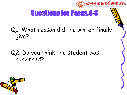

# Questions for Paras.4-8

## Q1. What reason did the writer finally give?

#### Q2. Do you think the student was convinced?

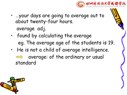

- …your days are going to average out to about twenty-four hours. average adj.
- found by calculating the average eg. The average age of the students is 19.
- He is not a child of average intelligence. average: of the ordinary or usual standard

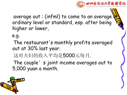

average out  $: (infm)$  to come to an average ordinary level or standard, esp. after being higher or lower,

e.g.

The restaurant's monthly profits averaged out at 30% last year.

这对夫妇的收入平均是5000元每月.

The couple's joint income averages out to 5,000 yuan a month.

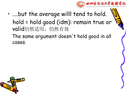

- ....but the average willl tend to hold. hold = hold good (idm): remain true or valid仍然适用,仍然有效
	- The same argument doesn 't hold good in all cases.

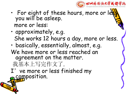

- For eight of these hours, more or lex you will be asleep. more or less:
- approximately, e.g. She works 12 hours a day, more or less.
- basically, essentially, almost, e.g. We have more or less reached an agreement on the matter.
	- 我基本上写完作文了.
- I've more or less finished my composition.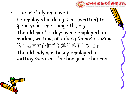

• …be usefully employed.

be employed in doing sth.: (written) to spend your time doing sth., e.g.

The old man's days were employed in reading, writing, and doing Chinese boxing. 这个老太太在忙着给她的孙子们织毛衣. The old lady was busily employed in knitting sweaters for her grandchildren.

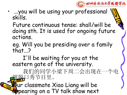

- ...you will be using your professional skills.
	- Future continuous tense: shall/will be doing sth. It is used for ongoing future actions.
	- eg. Will you be presiding over a family that...?
	- I'll be waiting for you at the eastern gate of the university.
	- 我们的同学小梁下周二会出现在一个电 视脱口秀节目里。

Our classmate Xiao Liang will be appearing on a TV talk show next Tuesday. The contract of the contract of the contract of the contract of the contract of the contract of the contract of the contract of the contract of the contract of the contract of the contract of the contract of the c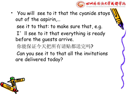

• You will see to it that the cyanide stays out of the aspirin,…

see it to that: to make sure that, e.g.

I'll see to it that everything is ready before the guests arrive.

你能保证今天把所有请贴都送完吗?

Can you see it to that all the invitations are delivered today?

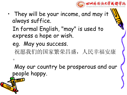

- They will be your income, and may it always suffice.
	- In formal English, "may" is used to express a hope or wish.
	- eg. May you success. 祝愿我们的国家繁荣昌盛,人民幸福安康  $\circ$
	-

May our country be prosperous and our people happy.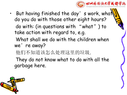

• But having finished the day's work, what do you do with those other eight hours? do with: (in questions with "what") to take action with regard to, e.g. What shall we do with the children when we're away? 他们不知道该怎么处理这里的垃圾. They do not know what to do with all the garbage here.

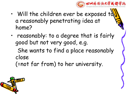

- $\cdot$  Will the children ever be exposed to a reasonably penetrating idea at home?
- reasonably: to a degree that is fairly good but not very good, e.g.

She wants to find a place reasonably close

(=not far from) to her university.

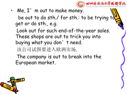

 $\cdot$  Me,  $\Gamma'$  m out to make money.

be out to do sth./ for sth.: to be trying to get or do sth., e.g.

Look out for such end-of-the-year sales. These shops are out to trick you into buying what you don't need.

该公司试图要进入欧洲市场.

The company is out to break into the European market.

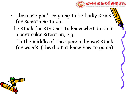

- …because you're going to be badly stuck for something to do…
	- be stuck for sth.: not to know what to do in a particular situation, e.g.
		- In the middle of the speech, he was stuck for words. (=he did not know how to go on)

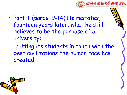

• Part Ⅱ(paras. 9-14):He restates, fourteen years later, what he still believes to be the purpose of a university:

putting its students in touch with the best civilizations the human race has created.

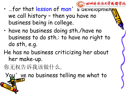

- have no business doing sth./have no business to do sth.: to have no right to do sth, e.g.
- He has no business criticizing her about her make-up.

你无权告诉我该做什么.

You' ve no business telling me what to do.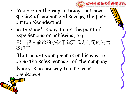

- You are on the way to being that new species of mechanized savage, the push button Neanderthal.
- on the/one's way to: on the point of experiencing or achieving, e.g. 那个很有前途的小伙子就要成为公司的销售 经理了.

That bright young man is on his way to being the sales manager of the company. Nancy is on her way to a nervous breakdown.

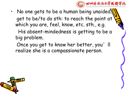

• No one gets to be a human being unaided. get to be/to do sth: to reach the point at which you are, feel, know, etc. sth., e.g.

His absent-mindedness is getting to be a big problem.

Once you get to know her better, you'll realize she is a compassionate person.

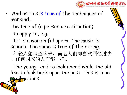

And as this is true of the techniques of mankind…

be true of (a person or a situation):

to apply to, e.g.

It's a wonderful opera. The music is superb. The same is true of the acting.

年轻人想展望未来,而老人们却喜欢回忆过去 。任何国家的人们都一样。

The young tend to look ahead while the old like to look back upon the past. This is true <del>all</del> mations.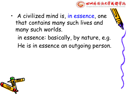

- A civilized mind is, in essence, one that contains many such lives and many such worlds.
	- in essence: basically, by nature, e.g.
	- He is in essence an outgoing person.

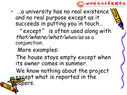

• …a university has no real existence and no real purpose except as it succeeds in putting you in touch…

"except" is often used along with that/where/what/when/as as a conjunction.

More examples:

The house stays empty except when its owner comes in summer.

We know nothing about the project except what is reported in the papers.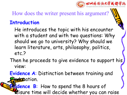

How does the writer present his argument?

#### **Introduction**

He introduces the topic with his encounter with a student and with two questions: Why should we go to university? Why should we learn literature, arts, philosophy, politics, etc.?

- Then he proceeds to give evidence to support his view:
- **Evidence A**: Distinction between training and education.

**Explorance B:** How to spend the 8 hours of Risure time will decide whether you can raise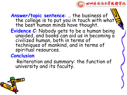

**Answer/topic sentence**: … the business of the college is to put you in touch with what  $\mathcal{L}$ the best human minds have thought.

**Evidence C**: Nobody gets to be a human being unaided, and books can aid us in becoming a civilized human, both in terms of techniques of mankind, and in terms of spiritual resources.

#### **Conclusion**

Reiteration and summary: the function of university and its faculty.

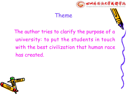

#### Theme

The author tries to clarify the purpose of a university: to put the students in touch with the best civilization that human race has created.